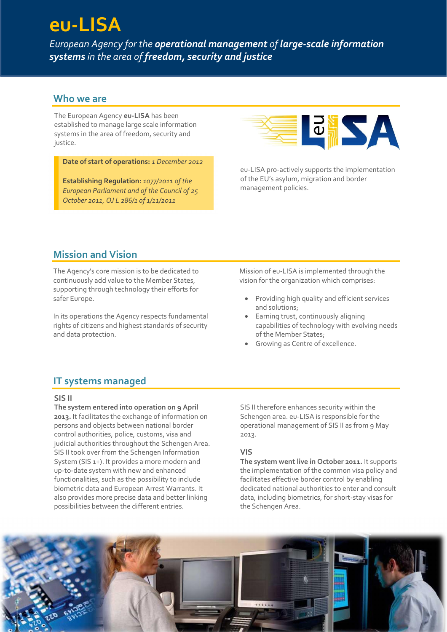# eu-LISA

*European Agency for the operational management of large-scale information systems in the area of freedom, security and justice*

# Who we are

The European Agency eu-LISA has been established to manage large scale information systems in the area of freedom, security and justice.

Date of start of operations: *1 December 2012*

Establishing Regulation: *1077/2011 of the European Parliament and of the Council of 25 October 2011, OJ L 286/1 of 1/11/2011*



eu-LISA pro-actively supports the implementation of the EU's asylum, migration and border management policies.

# Mission and Vision

The Agency's core mission is to be dedicated to continuously add value to the Member States, supporting through technology their efforts for safer Europe.

In its operations the Agency respects fundamental rights of citizens and highest standards of security and data protection.

Mission of eu-LISA is implemented through the vision for the organization which comprises:

- Providing high quality and efficient services and solutions;
- Earning trust, continuously aligning capabilities of technology with evolving needs of the Member States;
- Growing as Centre of excellence.

# IT systems managed

## SIS II

The system entered into operation on 9 April 2013. It facilitates the exchange of information on persons and objects between national border control authorities, police, customs, visa and judicial authorities throughout the Schengen Area. SIS II took over from the Schengen Information System (SIS 1+). It provides a more modern and up-to-date system with new and enhanced functionalities, such as the possibility to include biometric data and European Arrest Warrants. It also provides more precise data and better linking possibilities between the different entries.

SIS II therefore enhances security within the Schengen area. eu-LISA is responsible for the operational management of SIS II as from 9 May 2013.

# VIS

The system went live in October 2011. It supports the implementation of the common visa policy and facilitates effective border control by enabling dedicated national authorities to enter and consult data, including biometrics, for short-stay visas for the Schengen Area.